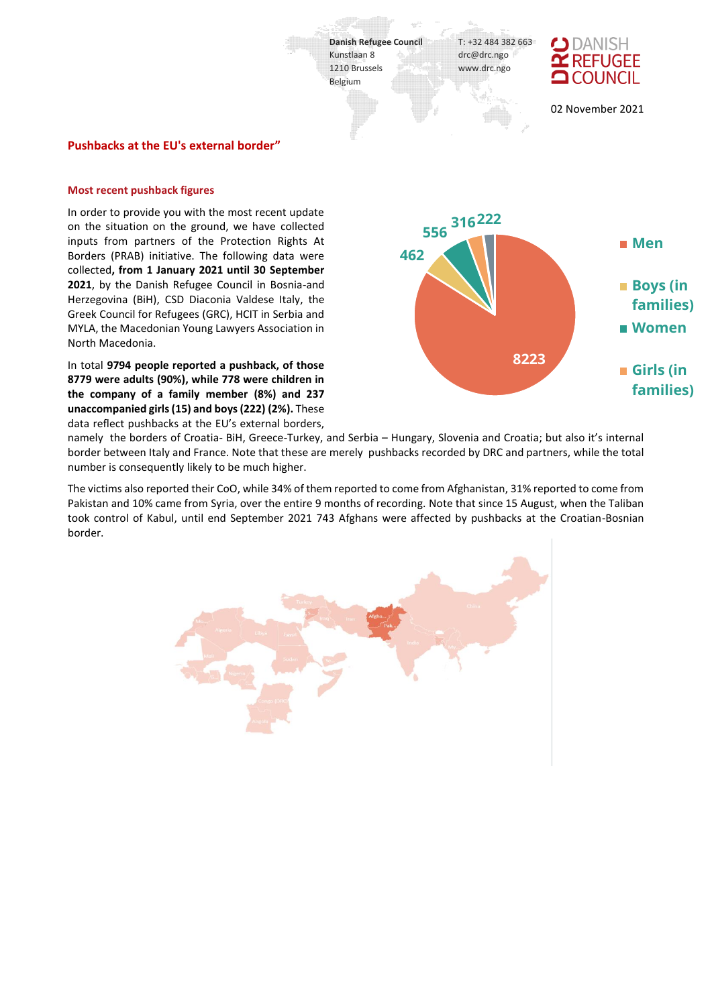

### **Pushbacks at the EU's external border"**

#### **Most recent pushback figures**

In order to provide you with the most recent update on the situation on the ground, we have collected inputs from partners of the Protection Rights At Borders (PRAB) initiative. The following data were collected**, from 1 January 2021 until 30 September 2021**, by the Danish Refugee Council in Bosnia-and Herzegovina (BiH), CSD Diaconia Valdese Italy, the Greek Council for Refugees (GRC), HCIT in Serbia and MYLA, the Macedonian Young Lawyers Association in North Macedonia.

In total **9794 people reported a pushback, of those 8779 were adults (90%), while 778 were children in the company of a family member (8%) and 237 unaccompanied girls (15) and boys (222) (2%).** These data reflect pushbacks at the EU's external borders,



namely the borders of Croatia- BiH, Greece-Turkey, and Serbia – Hungary, Slovenia and Croatia; but also it's internal border between Italy and France. Note that these are merely pushbacks recorded by DRC and partners, while the total number is consequently likely to be much higher.

The victims also reported their CoO, while 34% of them reported to come from Afghanistan, 31% reported to come from Pakistan and 10% came from Syria, over the entire 9 months of recording. Note that since 15 August, when the Taliban took control of Kabul, until end September 2021 743 Afghans were affected by pushbacks at the Croatian-Bosnian border.

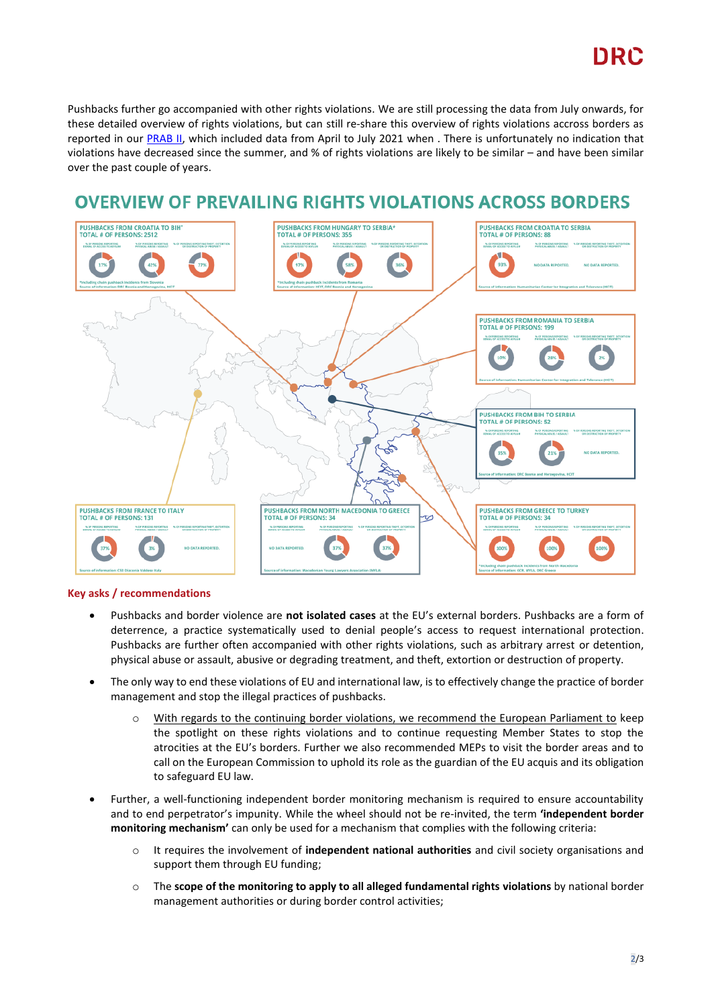# DRC

Pushbacks further go accompanied with other rights violations. We are still processing the data from July onwards, for these detailed overview of rights violations, but can still re-share this overview of rights violations accross borders as reported in ou[r PRAB II,](https://drc.ngo/media/y2zphgpz/prab-report-april-to-june-2021.pdf) which included data from April to July 2021 when . There is unfortunately no indication that violations have decreased since the summer, and % of rights violations are likely to be similar – and have been similar over the past couple of years.

## **OVERVIEW OF PREVAILING RIGHTS VIOLATIONS ACROSS BORDERS**



## **Key asks / recommendations**

- Pushbacks and border violence are **not isolated cases** at the EU's external borders. Pushbacks are a form of deterrence, a practice systematically used to denial people's access to request international protection. Pushbacks are further often accompanied with other rights violations, such as arbitrary arrest or detention, physical abuse or assault, abusive or degrading treatment, and theft, extortion or destruction of property.
- The only way to end these violations of EU and international law, is to effectively change the practice of border management and stop the illegal practices of pushbacks.
	- o With regards to the continuing border violations, we recommend the European Parliament to keep the spotlight on these rights violations and to continue requesting Member States to stop the atrocities at the EU's borders. Further we also recommended MEPs to visit the border areas and to call on the European Commission to uphold its role as the guardian of the EU acquis and its obligation to safeguard EU law.
- Further, a well-functioning independent border monitoring mechanism is required to ensure accountability and to end perpetrator's impunity. While the wheel should not be re-invited, the term **'independent border monitoring mechanism'** can only be used for a mechanism that complies with the following criteria:
	- o It requires the involvement of **independent national authorities** and civil society organisations and support them through EU funding;
	- o The **scope of the monitoring to apply to all alleged fundamental rights violations** by national border management authorities or during border control activities;